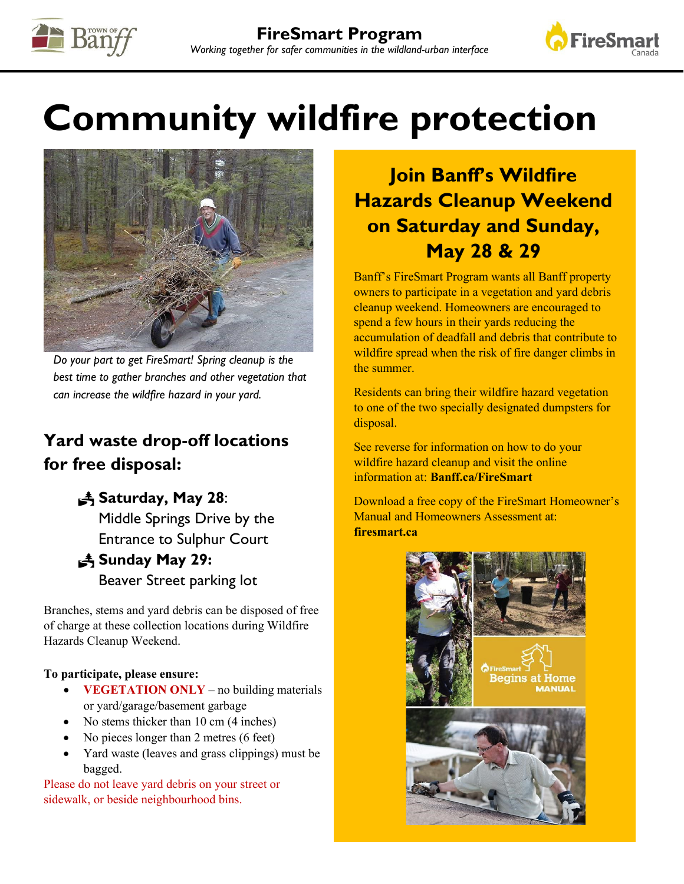



# **Community wildfire protection**



*Do your part to get FireSmart! Spring cleanup is the best time to gather branches and other vegetation that can increase the wildfire hazard in your yard.* 

### **Yard waste drop-off locations for free disposal:**

#### **Saturday, May 28**:

Middle Springs Drive by the Entrance to Sulphur Court

## **Sunday May 29:**

Beaver Street parking lot

Branches, stems and yard debris can be disposed of free of charge at these collection locations during Wildfire Hazards Cleanup Weekend.

#### **To participate, please ensure:**

- **VEGETATION ONLY** no building materials or yard/garage/basement garbage
- No stems thicker than 10 cm (4 inches)
- No pieces longer than 2 metres (6 feet)
- Yard waste (leaves and grass clippings) must be bagged.

Please do not leave yard debris on your street or sidewalk, or beside neighbourhood bins.

## **Join Banff's Wildfire Hazards Cleanup Weekend on Saturday and Sunday, May 28 & 29**

Banff's FireSmart Program wants all Banff property owners to participate in a vegetation and yard debris cleanup weekend. Homeowners are encouraged to spend a few hours in their yards reducing the accumulation of deadfall and debris that contribute to wildfire spread when the risk of fire danger climbs in the summer.

Residents can bring their wildfire hazard vegetation to one of the two specially designated dumpsters for disposal.

See reverse for information on how to do your wildfire hazard cleanup and visit the online information at: **Banff.ca/Fire[Sm](https://firesmartcanada.ca/programs-and-education/)art**

Download a free copy of the FireSmart Homeowner's Manual and Homeowners Assessment at: **firesmart.ca**